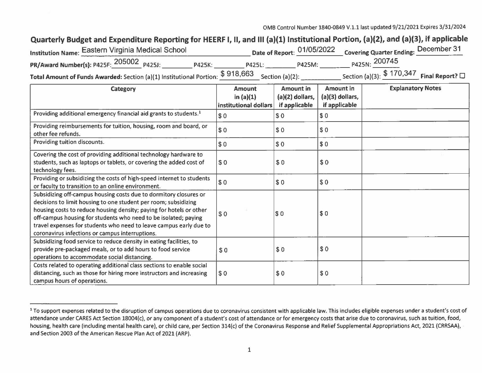## Quarterly Budget and Expenditure Reporting for HEERF I, II, and III (a)(1) Institutional Portion, (a)(2), and (a)(3), if applicable

| 'nstitution Name: Eastern Virginia Medical School                                                                |               |               |               | Date of Report: 01/05/2022 Covering Quarter Ending: December 31 |  |
|------------------------------------------------------------------------------------------------------------------|---------------|---------------|---------------|-----------------------------------------------------------------|--|
| PR/Award Number(s): P425F: 205002 P425J:                                                                         | <b>P425K:</b> | <b>P425L:</b> | <b>P425M:</b> | P425N: 200745                                                   |  |
| <b>Total Amount of Funds Awarded:</b> Section (a)(1) Institutional Portion: $\frac{$918,663}{5}$ Section (a)(2): |               |               |               | Section (a)(3): $$170,347$ Final Report? $\square$              |  |

| Category                                                                                                                                                                                                                                                                                                                                                                                                | <b>Amount</b><br>in $(a)(1)$<br>institutional dollars | <b>Amount</b> in<br>$(a)(2)$ dollars,<br>if applicable | <b>Amount in</b><br>$(a)(3)$ dollars,<br>if applicable | <b>Explanatory Notes</b> |
|---------------------------------------------------------------------------------------------------------------------------------------------------------------------------------------------------------------------------------------------------------------------------------------------------------------------------------------------------------------------------------------------------------|-------------------------------------------------------|--------------------------------------------------------|--------------------------------------------------------|--------------------------|
| Providing additional emergency financial aid grants to students. <sup>1</sup>                                                                                                                                                                                                                                                                                                                           | s <sub>0</sub>                                        | \$0                                                    | \$0                                                    |                          |
| Providing reimbursements for tuition, housing, room and board, or<br>other fee refunds.                                                                                                                                                                                                                                                                                                                 | \$0                                                   | \$0                                                    | \$0                                                    |                          |
| Providing tuition discounts.                                                                                                                                                                                                                                                                                                                                                                            | \$0                                                   | \$0                                                    | \$0                                                    |                          |
| Covering the cost of providing additional technology hardware to<br>students, such as laptops or tablets, or covering the added cost of<br>technology fees.                                                                                                                                                                                                                                             | \$0                                                   | \$0                                                    | \$0                                                    |                          |
| Providing or subsidizing the costs of high-speed internet to students<br>or faculty to transition to an online environment.                                                                                                                                                                                                                                                                             | \$0                                                   | \$0                                                    | $\sqrt{50}$                                            |                          |
| Subsidizing off-campus housing costs due to dormitory closures or<br>decisions to limit housing to one student per room; subsidizing<br>housing costs to reduce housing density; paying for hotels or other<br>off-campus housing for students who need to be isolated; paying<br>travel expenses for students who need to leave campus early due to<br>coronavirus infections or campus interruptions. | \$0                                                   | \$0                                                    | \$0                                                    |                          |
| Subsidizing food service to reduce density in eating facilities, to<br>provide pre-packaged meals, or to add hours to food service<br>operations to accommodate social distancing.                                                                                                                                                                                                                      | \$0                                                   | \$0                                                    | \$0                                                    |                          |
| Costs related to operating additional class sections to enable social<br>distancing, such as those for hiring more instructors and increasing<br>campus hours of operations.                                                                                                                                                                                                                            | \$0                                                   | \$0                                                    | \$0                                                    |                          |

<sup>&</sup>lt;sup>1</sup> To support expenses related to the disruption of campus operations due to coronavirus consistent with applicable law. This includes eligible expenses under a student's cost of attendance under CARES Act Section 18004(c), or any component of a student's cost of attendance or for emergency costs that arise due to coronavirus, such as tuition, food, housing, health care (including mental health care), or child care, per Section 314(c) of the Coronavirus Response and Relief Supplemental Appropriations Act, 2021 (CRRSAA), and Section 2003 of the American Rescue Plan Act of 2021 (ARP).